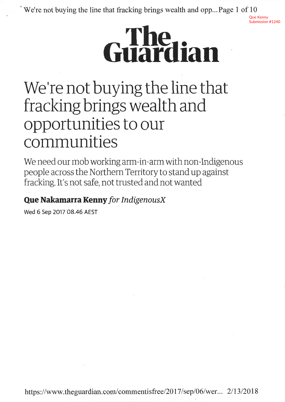'.We're not buying the line that fracking brings wealth and opp...Page I of l0

 Que Kenny Submission #1240

## oan

## We're not buying the line thatfracking brings wealth andopportunities to ourcommunities

we need our mob working arm-in-arm with non-Indigenouspeople across the Northern Territory to stand up againstfracking. It's not safe, not trusted and not wanted

## **Que Nakamarra Kenny** for IndigenousX

Wed 6 Sep 2017 08.46 AEST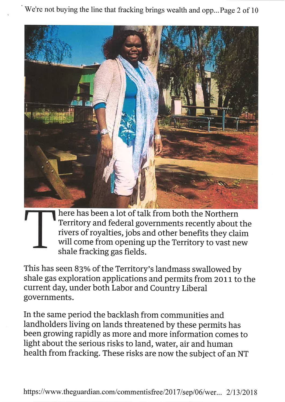We're not buying the line that fracking brings wealth and opp...Page 2 of 10



here has been a lot of talk from both the Northern Territory and federal governments recently about the rivers of royalties, jobs and other benefits they claim will come from opening up the Territory to vast newshale fracking gas fields.

This has seen 83% of the Territory's landmass swallowed by shale gas exploration applications and permits from 2011 to the current day, under both Labor and Country Liberalgovernments.

In the same period the backlash from communities and landholders living on lands threatened by these permits has been growing rapidly as more and more information comes tolight about the serious risks to land, water, air and humanhealth from fracking. These risks are now the subject of an NT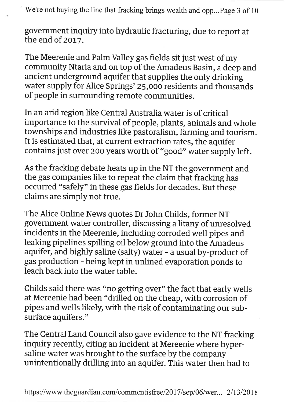We're not buying the line that fracking brings wealth and opp...Page 3 of 10

government inquiry into hydraulic fracturing, due to report atthe end of  $2017$ .

The Meerenie and Palm valley gas fields sit just west of my community Ntaria and on top of the Amadeus Basir, â deep andancient underground aquifer that supplies the only drinking water supply for Alice Springs' 25,ooo residents and thousandsof people in surrounding remote communities.

In an arid region like Central Australia water is of critical importance to the survival of people, plants, animals and whole townships and industries like pastoralism, farming and tourism.It is estimated that, at current extraction rates, the aquifercontains just over 2oo years worth of "good" water supply left.

As the fracking debate heats up in the NT the government andthe gas companies like to repeat the claim that fracking has occurred "safely" in these gas fields for decades. But theseclaims are simply not true.

The Alice Online News quotes Dr John Childs, former NT government water controller, discussing a litany of unresolved incidents in the Meerenie, including corroded well pipes and leaking pipelines spilling oil below ground into the Amadeusaquifer, and highly saline (salty) water - a usual by-product of gas production - being kept in unlined evaporation ponds toleach back into the water table.

Childs said there was "no getting over" the fact that early wells at Mereenie had been "drilled on the cheap, with corrosion of pipes and wells likely, with the risk of contaminating our subsurface aquifers."

The Central Land Council also gave evidence to the NT frackinginquiry recently, citing an incident at Mereenie where hypersaline water was brought to the surface by the companyunintentionally drilling into an aquifer. This water then had to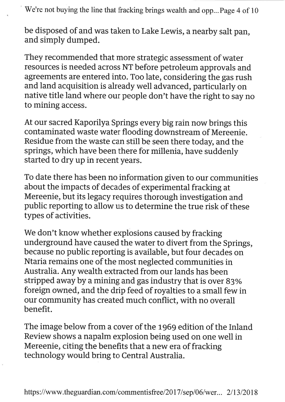We're not buying the line that fracking brings wealth and opp...Page 4 of 10

be disposed of and was taken to Lake Lewis, a nearby salt pan, and simply dumped.

They recommended that more strategic assessment of water resources is needed across NT before petroleum approvals and agreements are entered into. Too late, considering the gas rush and land acquisition is already well advanced, particularly on native title land where our people don't have the right to say noto mining access.

At our sacred Kaporilya Springs every big rain now brings this contaminated waste water flooding downstream of Mereenie. Residue from the waste can still be seen there today, and the springs, which have been there for millenia, have suddenlystarted to dry up in recent years.

To date there has been no information given to our communitiesabout the impacts of decades of experimental fracking at Mereenie, but its legacy requires thorough investigation and public reporting to allow us to determine the true risk of thesetypes of activities.

We don't know whether explosions caused by fracking underground have caused the water to divert from the Springs,because no public reporting is available, but four decades onNtaria remains one of the most neglected communities in Australia. Any wealth extracted from our lands has been stripped away by a mining and gas industry that is over 83% foreign owned, and the drip feed of royalties to a small few inour community has created much conflict, with no overallbenefit.

The image below from a cover of the 1969 edition of the InlandReview shows a napalm explosion being used on one well inMereenie, citing the benefits that a new era of frackingtechnology would bring to Central Australia.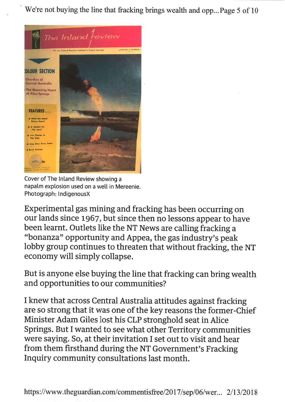We're not buying the line that fracking brings wealth and opp...Page 5 of 10



Cover of The lnland Review showing anapalm explosion used on a well in Mereenie Photograph: IndigenousX

Experimental gas mining and fracking has been occurring onour lands since 1967, but since then no lessons appear to have been learnt. outlets like the NT News are calling fracking a "bonanza" opportunity and Appea, the gas industry's peak lobby group continues to threaten that without fracking, the NTeconomy will simply collapse.

But is anyone else buying the line that fracking can bring wealthand opportunities to our communities?

<sup>I</sup>knew that across Central Australia attitudes against fracking are so strong that it was one of the key reasons the former-ChiefMinister Adam Giles lost his CLP stronghold seat in Alice Springs. But I wanted to see what other Territory communitieswere saying. So, at their invitation I set out to visit and hear from them firsthand during the NT Government's FrackingInquiry community consultations last month.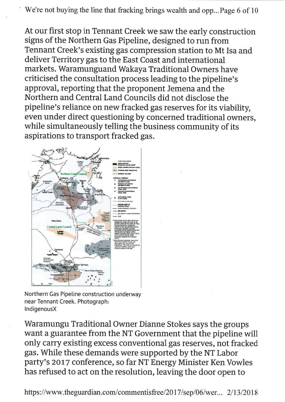We're not buying the line that fracking brings wealth and opp...Page 6 of 10

At our first stop in Tennant Creek we saw the early constructionsigns of the Northern Gas Pipeline, designed to run from Tennant Creek's existing gas compression station to Mt Isa anddeliver Territory gas to the East coast and international markets. waramunguand wakaya Traditional owners have criticised the consultation process leading to the pipeline'sapproval, reporting that the proponent Jemena and the Northern and central Land councils did not disclose the pipeline's reliance on new fracked gas reserves for its viability, even under direct questioning by concerned traditional owners,while simultaneously telling the business community of itsaspirations to transport fracked gas.



Northern Gas Pipeline construction underwaynear Tennant Creek. Photograph:lndigenousX

Waramungu Traditional Owner Dianne Stokes says the groups want a guarantee from the NT Government that the pipeline will only carry existing excess conventional gas reserves, not frackedgas. While these demands were supported by the NT Laborparty's 2017 conference, so far NT Energy Minister Ken Vowles has refused to act on the resolution, leaving the door open to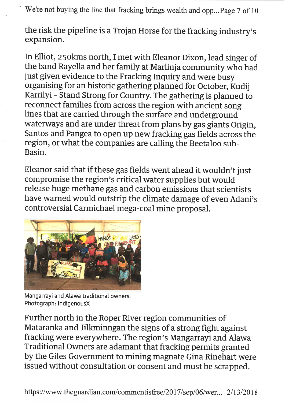We're not buying the line that fracking brings wealth and opp...Page 7 of 10

the risk the pipeline is a Trojan Horse for the fracking industry'sexpansion.

In Elliot, 250kms north, I met with Eleanor Dixon, lead singer of the band Rayella and her family at Marlinja community who had just given evidence to the Fracking Inquiry and were busy organising for an historic gathering planned for October, Kudij Karrilyi - Stand Strong for Country. The gathering is planned toreconnect families from across the region with ancient song lines that are carried through the surface and underground waterways and are under threat from plans by gas giants origin, Santos and Pangea to open up new fracking gas fields across theregion, or what the companies are calling the Beetaloo sub-Basin.

Eleanor said that if these gas fields went ahead it wouldn't justcompromise the region's critical water supplies but would release huge methane gas and carbon emissions that scientists have warned would outstrip the climate damage of even Adani'scontroversial Carmichael mega-coal mine proposal.



Mangarrayi and Alawa traditionaI owners.Photograph: IndigenousX

Further north in the Roper River region communities of Mataranka and Jilkminngan the signs of a strong fight against fracking were everywhere. The region's Mangarrayi and Alawa Traditional Owners are adamant that fracking permits granted by the Giles Government to mining magnate Gina Rinehart wereissued without consultation or consent and must be scrapped.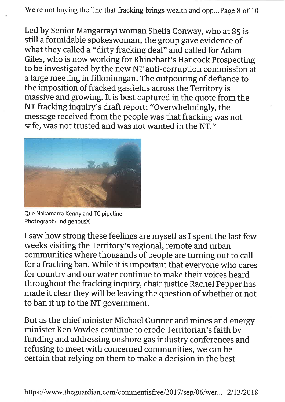We're not buying the line that fracking brings wealth and opp... Page 8 of 10

Led by Senior Mangarrayi woman Shelia conway, who at 85 isstill a formidable spokeswoman, the group gave evidence of what they called a "dirty fracking deal" and called for AdamGiles, who is now working for Rhinehart's Hancock Prospecting to be investigated by the new NT anti-corruption commission ata large meeting in Jilkminngan. The outpouring of defiance tothe imposition of fracked gasfields across the Territory is massive and growing. It is best captured in the quote from theNT fracking inquiry's draft report: "Overwhelmingly, the message received from the people was that fracking was notsafe, was not trusted and was not wanted in the NT."



Que Nakamarra Kenny and TC pipeline. Photograph: IndigenousX

<sup>I</sup>saw how strong these feelings are myself as I spent the last fewweeks visiting the Territory's regional, remote and urban communities where thousands of people are turning out to call for a fracking ban. While it is important that everyone who caresfor country and our water continue to make their voices heard throughout the fracking inquiry, chair justice Rachel Pepper has made it clear they will be leaving the question of whether or notto ban it up to the NT government.

But as the chief minister Michael Gunner and mines and energyminister Ken Vowles continue to erode Territorian's faith by funding and addressing onshore gas industry conferences andrefusing to meet with concerned communities, we can becertain that relying on them to make a decision in the best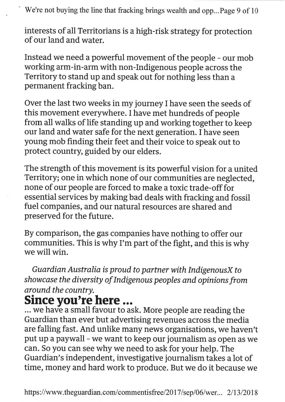interests of all Territorians is a high-risk strategy for protectionof our land and water.

Instead we need a powerful movement of the people - our mobworking arm-in-arm with non-Indigenous people across theTerritory to stand up and speak out for nothing less than apermanent fracking ban.

Over the last two weeks in my journey I have seen the seeds of this movement everywhere. I have met hundreds of people from all walks of life standing up and working together to keepour land and water safe for the next generation. I have seen young mob finding their feet and their voice to speak out toprotect country, guided by our elders.

The strength of this movement is its powerful vision for a united Territory; one in which none of our communities are neglected,none of our people are forced to make a toxic trade-off for essential services by making bad deals with fracking and fossilfuel companies, and our natural resources are shared andpreserved for the future.

By comparison, the gas companies have nothing to offer our communities. This is why I'm part of the fight, and this is whywe will win.

Guardian Australia is proud to partner with Indigenousx to showcase the diversity of Indigenous peoples and opinions fromaround the country.

## Since you're here ...

 $\ldots$  we have a small favour to ask. More people are reading the Guardian than ever but advertising revenues across the media are falling fast. And unlike many news organisations, we haven't put up a paywall - we want to keep our journalism as open as wecan. So you can see why we need to ask for your help. The Guardian's independent, investigative journalism takes a lot oftime, money and hard work to produce. But we do it because we